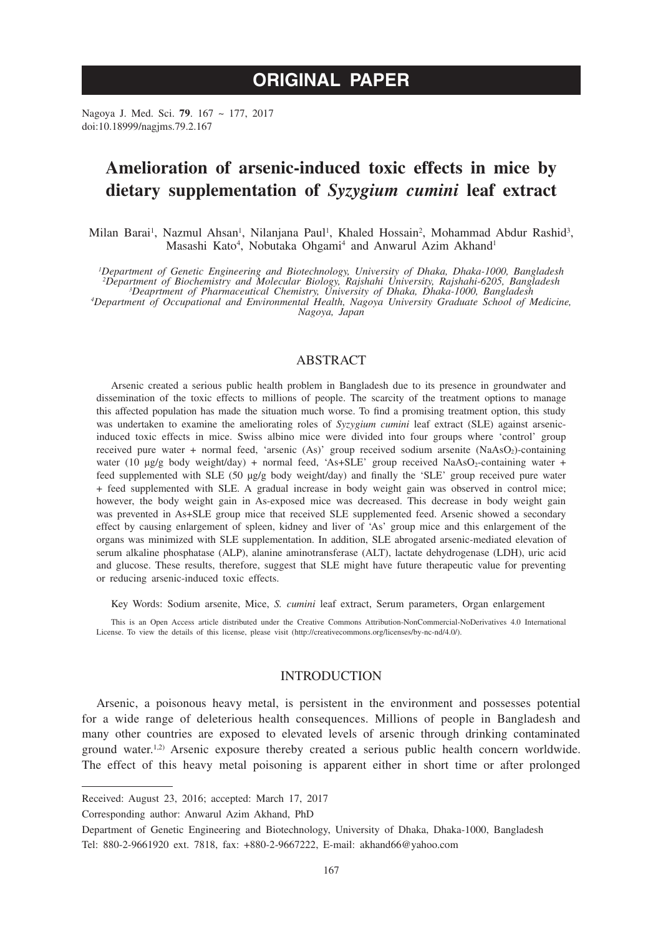# **ORIGINAL PAPER**

Nagoya J. Med. Sci. **79**. 167 ~ 177, 2017 doi:10.18999/nagjms.79.2.167

## **Amelioration of arsenic-induced toxic effects in mice by dietary supplementation of** *Syzygium cumini* **leaf extract**

Milan Barai<sup>1</sup>, Nazmul Ahsan<sup>1</sup>, Nilanjana Paul<sup>1</sup>, Khaled Hossain<sup>2</sup>, Mohammad Abdur Rashid<sup>3</sup>, Masashi Kato<sup>4</sup>, Nobutaka Ohgami<sup>4</sup> and Anwarul Azim Akhand<sup>1</sup>

<sup>1</sup>Department of Genetic Engineering and Biotechnology, University of Dhaka, Dhaka-1000, Bangladesh<sup>2</sup><br><sup>2</sup>Department of Biochemistry and Molecular Biology, Rajshahi University, Rajshahi-6205, Bangladesh<sup>2</sup><br><sup>2</sup>Department of

*Department of Occupational and Environmental Health, Nagoya University Graduate School of Medicine, Nagoya, Japan*

## ABSTRACT

Arsenic created a serious public health problem in Bangladesh due to its presence in groundwater and dissemination of the toxic effects to millions of people. The scarcity of the treatment options to manage this affected population has made the situation much worse. To find a promising treatment option, this study was undertaken to examine the ameliorating roles of *Syzygium cumini* leaf extract (SLE) against arsenicinduced toxic effects in mice. Swiss albino mice were divided into four groups where 'control' group received pure water + normal feed, 'arsenic (As)' group received sodium arsenite (NaAsO2)-containing water (10 μg/g body weight/day) + normal feed, 'As+SLE' group received NaAsO2-containing water + feed supplemented with SLE (50 µg/g body weight/day) and finally the 'SLE' group received pure water + feed supplemented with SLE. A gradual increase in body weight gain was observed in control mice; however, the body weight gain in As-exposed mice was decreased. This decrease in body weight gain was prevented in As+SLE group mice that received SLE supplemented feed. Arsenic showed a secondary effect by causing enlargement of spleen, kidney and liver of 'As' group mice and this enlargement of the organs was minimized with SLE supplementation. In addition, SLE abrogated arsenic-mediated elevation of serum alkaline phosphatase (ALP), alanine aminotransferase (ALT), lactate dehydrogenase (LDH), uric acid and glucose. These results, therefore, suggest that SLE might have future therapeutic value for preventing or reducing arsenic-induced toxic effects.

Key Words: Sodium arsenite, Mice, *S. cumini* leaf extract, Serum parameters, Organ enlargement

This is an Open Access article distributed under the Creative Commons Attribution-NonCommercial-NoDerivatives 4.0 International License. To view the details of this license, please visit (http://creativecommons.org/licenses/by-nc-nd/4.0/).

## INTRODUCTION

Arsenic, a poisonous heavy metal, is persistent in the environment and possesses potential for a wide range of deleterious health consequences. Millions of people in Bangladesh and many other countries are exposed to elevated levels of arsenic through drinking contaminated ground water.<sup>1,2)</sup> Arsenic exposure thereby created a serious public health concern worldwide. The effect of this heavy metal poisoning is apparent either in short time or after prolonged

Corresponding author: Anwarul Azim Akhand, PhD

Received: August 23, 2016; accepted: March 17, 2017

Department of Genetic Engineering and Biotechnology, University of Dhaka, Dhaka-1000, Bangladesh Tel: 880-2-9661920 ext. 7818, fax: +880-2-9667222, E-mail: akhand66@yahoo.com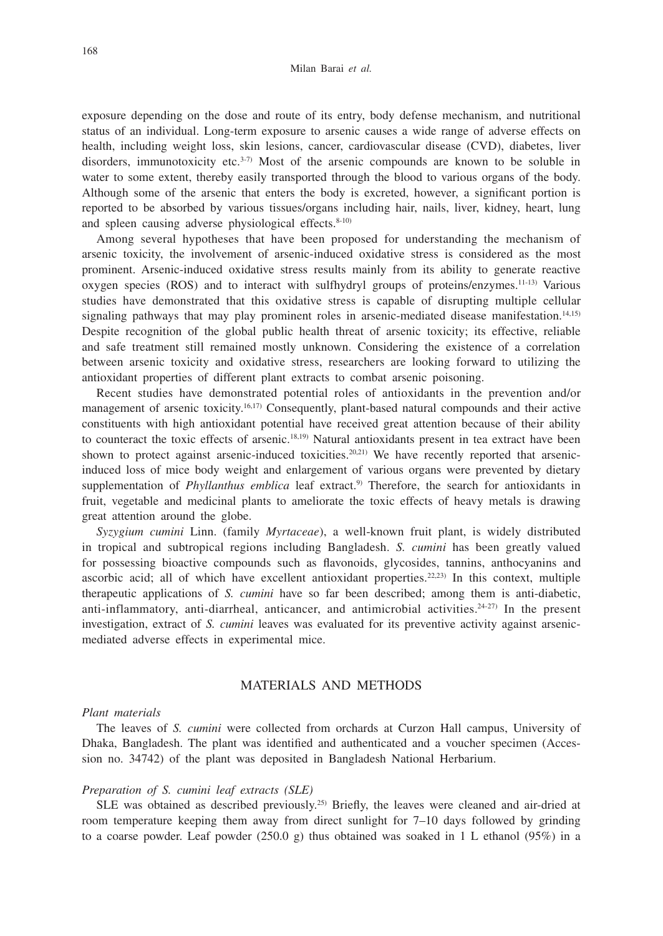exposure depending on the dose and route of its entry, body defense mechanism, and nutritional status of an individual. Long-term exposure to arsenic causes a wide range of adverse effects on health, including weight loss, skin lesions, cancer, cardiovascular disease (CVD), diabetes, liver disorders, immunotoxicity etc.<sup>3-7)</sup> Most of the arsenic compounds are known to be soluble in water to some extent, thereby easily transported through the blood to various organs of the body. Although some of the arsenic that enters the body is excreted, however, a significant portion is reported to be absorbed by various tissues/organs including hair, nails, liver, kidney, heart, lung and spleen causing adverse physiological effects. $8-10$ )

Among several hypotheses that have been proposed for understanding the mechanism of arsenic toxicity, the involvement of arsenic-induced oxidative stress is considered as the most prominent. Arsenic-induced oxidative stress results mainly from its ability to generate reactive oxygen species (ROS) and to interact with sulfhydryl groups of proteins/enzymes.11-13) Various studies have demonstrated that this oxidative stress is capable of disrupting multiple cellular signaling pathways that may play prominent roles in arsenic-mediated disease manifestation.<sup>14,15)</sup> Despite recognition of the global public health threat of arsenic toxicity; its effective, reliable and safe treatment still remained mostly unknown. Considering the existence of a correlation between arsenic toxicity and oxidative stress, researchers are looking forward to utilizing the antioxidant properties of different plant extracts to combat arsenic poisoning.

Recent studies have demonstrated potential roles of antioxidants in the prevention and/or management of arsenic toxicity.16,17) Consequently, plant-based natural compounds and their active constituents with high antioxidant potential have received great attention because of their ability to counteract the toxic effects of arsenic.18,19) Natural antioxidants present in tea extract have been shown to protect against arsenic-induced toxicities.<sup>20,21)</sup> We have recently reported that arsenicinduced loss of mice body weight and enlargement of various organs were prevented by dietary supplementation of *Phyllanthus emblica* leaf extract.<sup>9)</sup> Therefore, the search for antioxidants in fruit, vegetable and medicinal plants to ameliorate the toxic effects of heavy metals is drawing great attention around the globe.

*Syzygium cumini* Linn. (family *Myrtaceae*), a well-known fruit plant, is widely distributed in tropical and subtropical regions including Bangladesh. *S. cumini* has been greatly valued for possessing bioactive compounds such as flavonoids, glycosides, tannins, anthocyanins and ascorbic acid; all of which have excellent antioxidant properties.<sup>22,23)</sup> In this context, multiple therapeutic applications of *S. cumini* have so far been described; among them is anti-diabetic, anti-inflammatory, anti-diarrheal, anticancer, and antimicrobial activities.<sup>24-27)</sup> In the present investigation, extract of *S. cumini* leaves was evaluated for its preventive activity against arsenicmediated adverse effects in experimental mice.

## MATERIALS AND METHODS

## *Plant materials*

The leaves of *S. cumini* were collected from orchards at Curzon Hall campus, University of Dhaka, Bangladesh. The plant was identified and authenticated and a voucher specimen (Accession no. 34742) of the plant was deposited in Bangladesh National Herbarium.

### *Preparation of S. cumini leaf extracts (SLE)*

SLE was obtained as described previously.25) Briefly, the leaves were cleaned and air-dried at room temperature keeping them away from direct sunlight for 7–10 days followed by grinding to a coarse powder. Leaf powder  $(250.0 \text{ g})$  thus obtained was soaked in 1 L ethanol  $(95\%)$  in a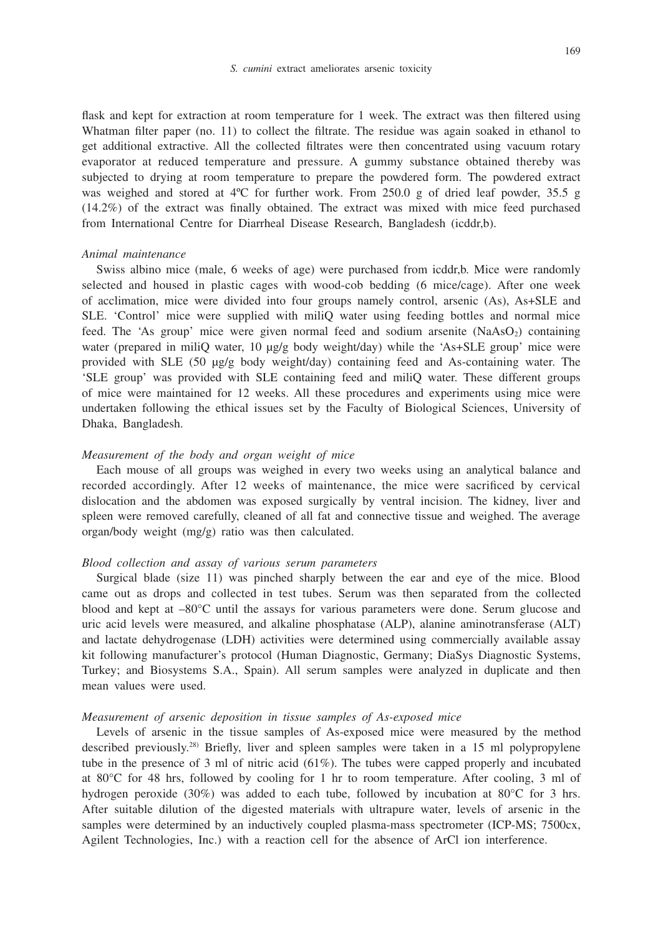flask and kept for extraction at room temperature for 1 week. The extract was then filtered using

Whatman filter paper (no. 11) to collect the filtrate. The residue was again soaked in ethanol to get additional extractive. All the collected filtrates were then concentrated using vacuum rotary evaporator at reduced temperature and pressure. A gummy substance obtained thereby was subjected to drying at room temperature to prepare the powdered form. The powdered extract was weighed and stored at 4°C for further work. From 250.0 g of dried leaf powder, 35.5 g (14.2%) of the extract was finally obtained. The extract was mixed with mice feed purchased from International Centre for Diarrheal Disease Research, Bangladesh (icddr,b).

## *Animal maintenance*

Swiss albino mice (male, 6 weeks of age) were purchased from icddr,b. Mice were randomly selected and housed in plastic cages with wood-cob bedding (6 mice/cage). After one week of acclimation, mice were divided into four groups namely control, arsenic (As), As+SLE and SLE. 'Control' mice were supplied with miliQ water using feeding bottles and normal mice feed. The 'As group' mice were given normal feed and sodium arsenite  $(NaAsO<sub>2</sub>)$  containing water (prepared in miliQ water, 10 μg/g body weight/day) while the 'As+SLE group' mice were provided with SLE (50 μg/g body weight/day) containing feed and As-containing water. The 'SLE group' was provided with SLE containing feed and miliQ water. These different groups of mice were maintained for 12 weeks. All these procedures and experiments using mice were undertaken following the ethical issues set by the Faculty of Biological Sciences, University of Dhaka, Bangladesh.

### *Measurement of the body and organ weight of mice*

Each mouse of all groups was weighed in every two weeks using an analytical balance and recorded accordingly. After 12 weeks of maintenance, the mice were sacrificed by cervical dislocation and the abdomen was exposed surgically by ventral incision. The kidney, liver and spleen were removed carefully, cleaned of all fat and connective tissue and weighed. The average organ/body weight (mg/g) ratio was then calculated.

## *Blood collection and assay of various serum parameters*

Surgical blade (size 11) was pinched sharply between the ear and eye of the mice. Blood came out as drops and collected in test tubes. Serum was then separated from the collected blood and kept at –80°C until the assays for various parameters were done. Serum glucose and uric acid levels were measured, and alkaline phosphatase (ALP), alanine aminotransferase (ALT) and lactate dehydrogenase (LDH) activities were determined using commercially available assay kit following manufacturer's protocol (Human Diagnostic, Germany; DiaSys Diagnostic Systems, Turkey; and Biosystems S.A., Spain). All serum samples were analyzed in duplicate and then mean values were used.

## *Measurement of arsenic deposition in tissue samples of As-exposed mice*

Levels of arsenic in the tissue samples of As-exposed mice were measured by the method described previously.28) Briefly, liver and spleen samples were taken in a 15 ml polypropylene tube in the presence of 3 ml of nitric acid (61%). The tubes were capped properly and incubated at 80°C for 48 hrs, followed by cooling for 1 hr to room temperature. After cooling, 3 ml of hydrogen peroxide (30%) was added to each tube, followed by incubation at 80°C for 3 hrs. After suitable dilution of the digested materials with ultrapure water, levels of arsenic in the samples were determined by an inductively coupled plasma-mass spectrometer (ICP-MS; 7500cx, Agilent Technologies, Inc.) with a reaction cell for the absence of ArCl ion interference.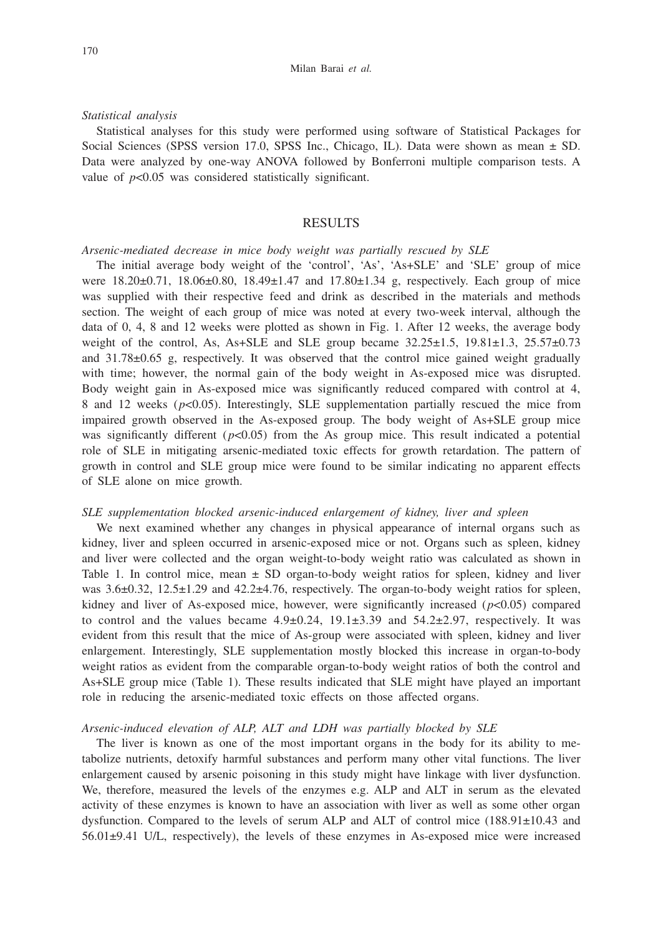#### *Statistical analysis*

Statistical analyses for this study were performed using software of Statistical Packages for Social Sciences (SPSS version 17.0, SPSS Inc., Chicago, IL). Data were shown as mean  $\pm$  SD. Data were analyzed by one-way ANOVA followed by Bonferroni multiple comparison tests. A value of  $p<0.05$  was considered statistically significant.

## RESULTS

#### *Arsenic-mediated decrease in mice body weight was partially rescued by SLE*

The initial average body weight of the 'control', 'As', 'As+SLE' and 'SLE' group of mice were 18.20±0.71, 18.06±0.80, 18.49±1.47 and 17.80±1.34 g, respectively. Each group of mice was supplied with their respective feed and drink as described in the materials and methods section. The weight of each group of mice was noted at every two-week interval, although the data of 0, 4, 8 and 12 weeks were plotted as shown in Fig. 1. After 12 weeks, the average body weight of the control, As, As+SLE and SLE group became  $32.25 \pm 1.5$ ,  $19.81 \pm 1.3$ ,  $25.57 \pm 0.73$ and 31.78±0.65 g, respectively. It was observed that the control mice gained weight gradually with time; however, the normal gain of the body weight in As-exposed mice was disrupted. Body weight gain in As-exposed mice was significantly reduced compared with control at 4, 8 and 12 weeks (*p*<0.05). Interestingly, SLE supplementation partially rescued the mice from impaired growth observed in the As-exposed group. The body weight of As+SLE group mice was significantly different  $(p<0.05)$  from the As group mice. This result indicated a potential role of SLE in mitigating arsenic-mediated toxic effects for growth retardation. The pattern of growth in control and SLE group mice were found to be similar indicating no apparent effects of SLE alone on mice growth.

## *SLE supplementation blocked arsenic-induced enlargement of kidney, liver and spleen*

We next examined whether any changes in physical appearance of internal organs such as kidney, liver and spleen occurred in arsenic-exposed mice or not. Organs such as spleen, kidney and liver were collected and the organ weight-to-body weight ratio was calculated as shown in Table 1. In control mice, mean  $\pm$  SD organ-to-body weight ratios for spleen, kidney and liver was 3.6 $\pm$ 0.32, 12.5 $\pm$ 1.29 and 42.2 $\pm$ 4.76, respectively. The organ-to-body weight ratios for spleen, kidney and liver of As-exposed mice, however, were significantly increased (*p*<0.05) compared to control and the values became  $4.9\pm0.24$ ,  $19.1\pm3.39$  and  $54.2\pm2.97$ , respectively. It was evident from this result that the mice of As-group were associated with spleen, kidney and liver enlargement. Interestingly, SLE supplementation mostly blocked this increase in organ-to-body weight ratios as evident from the comparable organ-to-body weight ratios of both the control and As+SLE group mice (Table 1). These results indicated that SLE might have played an important role in reducing the arsenic-mediated toxic effects on those affected organs.

### *Arsenic-induced elevation of ALP, ALT and LDH was partially blocked by SLE*

The liver is known as one of the most important organs in the body for its ability to metabolize nutrients, detoxify harmful substances and perform many other vital functions. The liver enlargement caused by arsenic poisoning in this study might have linkage with liver dysfunction. We, therefore, measured the levels of the enzymes e.g. ALP and ALT in serum as the elevated activity of these enzymes is known to have an association with liver as well as some other organ dysfunction. Compared to the levels of serum ALP and ALT of control mice (188.91±10.43 and 56.01±9.41 U/L, respectively), the levels of these enzymes in As-exposed mice were increased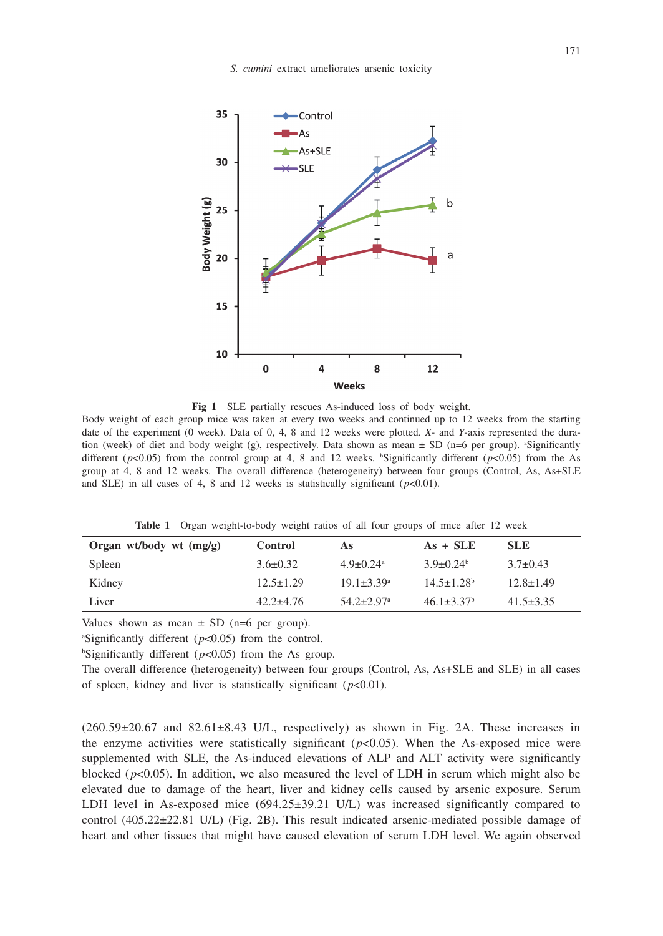

**Fig 1** SLE partially rescues As-induced loss of body weight.

Body weight of each group mice was taken at every two weeks and continued up to 12 weeks from the starting date of the experiment (0 week). Data of 0, 4, 8 and 12 weeks were plotted. *X*- and *Y*-axis represented the duration (week) of diet and body weight (g), respectively. Data shown as mean  $\pm$  SD (n=6 per group). <sup>a</sup>Significantly different  $(p<0.05)$  from the control group at 4, 8 and 12 weeks. <sup>b</sup>Significantly different  $(p<0.05)$  from the As group at 4, 8 and 12 weeks. The overall difference (heterogeneity) between four groups (Control, As, As+SLE and SLE) in all cases of 4, 8 and 12 weeks is statistically significant  $(p<0.01)$ .

**Table 1** Organ weight-to-body weight ratios of all four groups of mice after 12 week

| Organ wt/body wt $(mg/g)$ | <b>Control</b>  | As                           | $As + SLE$                   | SLE.            |
|---------------------------|-----------------|------------------------------|------------------------------|-----------------|
| Spleen                    | $3.6 \pm 0.32$  | $4.9 + 0.24$ <sup>a</sup>    | $3.9 + 0.24^b$               | $3.7\pm0.43$    |
| Kidney                    | $12.5 \pm 1.29$ | $19.1 + 3.39^{\circ}$        | $14.5 + 1.28$ <sup>b</sup>   | $12.8 \pm 1.49$ |
| Liver                     | $42.2 + 4.76$   | $54.2 \pm 2.97$ <sup>a</sup> | $46.1 \pm 3.37$ <sup>b</sup> | $41.5 + 3.35$   |

Values shown as mean  $\pm$  SD (n=6 per group).

<sup>a</sup>Significantly different  $(p<0.05)$  from the control.

<sup>b</sup>Significantly different ( $p$ <0.05) from the As group.

The overall difference (heterogeneity) between four groups (Control, As, As+SLE and SLE) in all cases of spleen, kidney and liver is statistically significant  $(p<0.01)$ .

 $(260.59\pm20.67$  and  $82.61\pm8.43$  U/L, respectively) as shown in Fig. 2A. These increases in the enzyme activities were statistically significant  $(p<0.05)$ . When the As-exposed mice were supplemented with SLE, the As-induced elevations of ALP and ALT activity were significantly blocked (*p*<0.05). In addition, we also measured the level of LDH in serum which might also be elevated due to damage of the heart, liver and kidney cells caused by arsenic exposure. Serum LDH level in As-exposed mice (694.25±39.21 U/L) was increased significantly compared to control (405.22±22.81 U/L) (Fig. 2B). This result indicated arsenic-mediated possible damage of heart and other tissues that might have caused elevation of serum LDH level. We again observed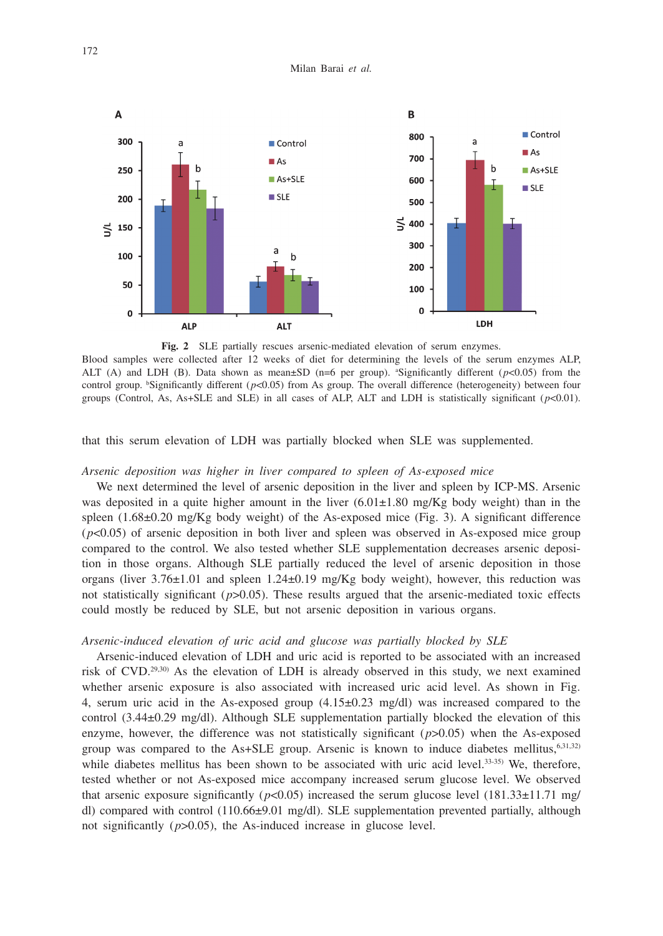

**Fig. 2** SLE partially rescues arsenic-mediated elevation of serum enzymes. Blood samples were collected after 12 weeks of diet for determining the levels of the serum enzymes ALP, ALT (A) and LDH (B). Data shown as mean $\pm SD$  (n=6 per group). <sup>a</sup>Significantly different ( $p<0.05$ ) from the control group. <sup>b</sup>Significantly different  $(p<0.05)$  from As group. The overall difference (heterogeneity) between four groups (Control, As, As+SLE and SLE) in all cases of ALP, ALT and LDH is statistically significant  $(p<0.01)$ .

that this serum elevation of LDH was partially blocked when SLE was supplemented.

## *Arsenic deposition was higher in liver compared to spleen of As-exposed mice*

We next determined the level of arsenic deposition in the liver and spleen by ICP-MS. Arsenic was deposited in a quite higher amount in the liver  $(6.01\pm1.80 \text{ mg/Kg}$  body weight) than in the spleen (1.68±0.20 mg/Kg body weight) of the As-exposed mice (Fig. 3). A significant difference (*p*<0.05) of arsenic deposition in both liver and spleen was observed in As-exposed mice group compared to the control. We also tested whether SLE supplementation decreases arsenic deposition in those organs. Although SLE partially reduced the level of arsenic deposition in those organs (liver  $3.76 \pm 1.01$  and spleen  $1.24 \pm 0.19$  mg/Kg body weight), however, this reduction was not statistically significant  $(p>0.05)$ . These results argued that the arsenic-mediated toxic effects could mostly be reduced by SLE, but not arsenic deposition in various organs.

## *Arsenic-induced elevation of uric acid and glucose was partially blocked by SLE*

Arsenic-induced elevation of LDH and uric acid is reported to be associated with an increased risk of CVD.29,30) As the elevation of LDH is already observed in this study, we next examined whether arsenic exposure is also associated with increased uric acid level. As shown in Fig. 4, serum uric acid in the As-exposed group  $(4.15\pm0.23 \text{ mg/dl})$  was increased compared to the control (3.44±0.29 mg/dl). Although SLE supplementation partially blocked the elevation of this enzyme, however, the difference was not statistically significant (*p*>0.05) when the As-exposed group was compared to the As+SLE group. Arsenic is known to induce diabetes mellitus, $6,31,32$ ) while diabetes mellitus has been shown to be associated with uric acid level. $33-35$  We, therefore, tested whether or not As-exposed mice accompany increased serum glucose level. We observed that arsenic exposure significantly ( $p<0.05$ ) increased the serum glucose level (181.33 $\pm$ 11.71 mg/ dl) compared with control (110.66±9.01 mg/dl). SLE supplementation prevented partially, although not significantly  $(p>0.05)$ , the As-induced increase in glucose level.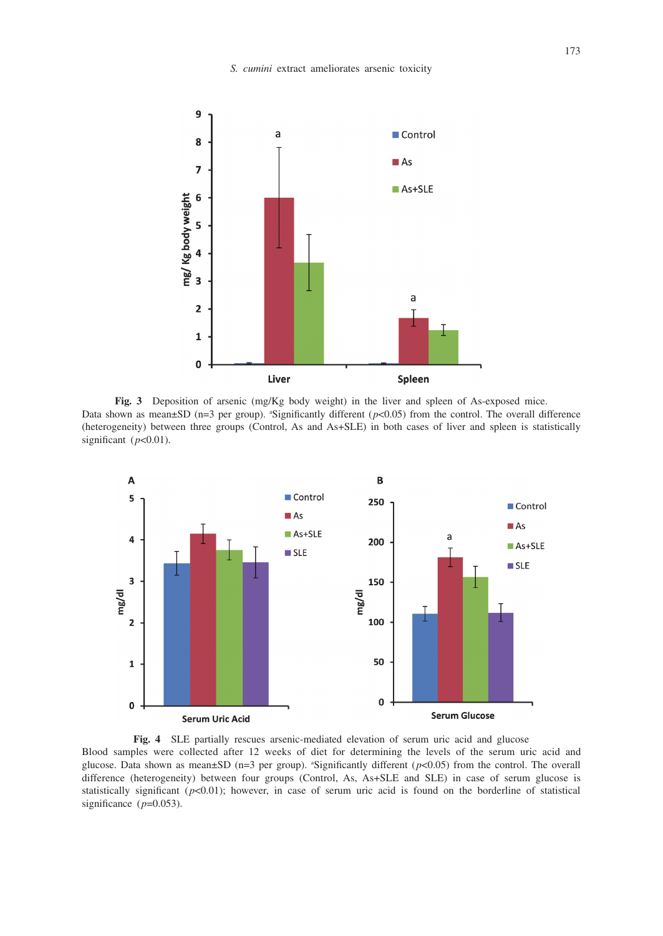

**Fig. 3** Deposition of arsenic (mg/Kg body weight) in the liver and spleen of As-exposed mice. Data shown as mean $\pm$ SD (n=3 per group). <sup>a</sup>Significantly different ( $p$ <0.05) from the control. The overall difference (heterogeneity) between three groups (Control, As and As+SLE) in both cases of liver and spleen is statistically significant  $(p<0.01)$ .



**Fig. 4** SLE partially rescues arsenic-mediated elevation of serum uric acid and glucose Blood samples were collected after 12 weeks of diet for determining the levels of the serum uric acid and glucose. Data shown as mean $\pm$ SD (n=3 per group). "Significantly different ( $p$ <0.05) from the control. The overall difference (heterogeneity) between four groups (Control, As, As+SLE and SLE) in case of serum glucose is statistically significant  $(p<0.01)$ ; however, in case of serum uric acid is found on the borderline of statistical significance  $(p=0.053)$ .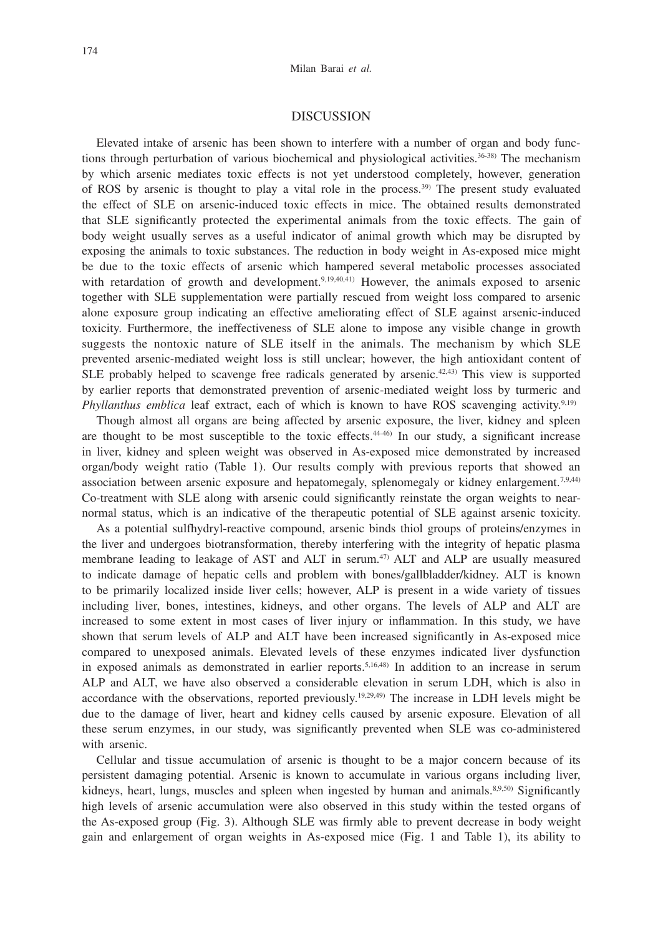## DISCUSSION

Elevated intake of arsenic has been shown to interfere with a number of organ and body functions through perturbation of various biochemical and physiological activities.<sup>36-38)</sup> The mechanism by which arsenic mediates toxic effects is not yet understood completely, however, generation of ROS by arsenic is thought to play a vital role in the process.39) The present study evaluated the effect of SLE on arsenic-induced toxic effects in mice. The obtained results demonstrated that SLE significantly protected the experimental animals from the toxic effects. The gain of body weight usually serves as a useful indicator of animal growth which may be disrupted by exposing the animals to toxic substances. The reduction in body weight in As-exposed mice might be due to the toxic effects of arsenic which hampered several metabolic processes associated with retardation of growth and development.<sup>9,19,40,41)</sup> However, the animals exposed to arsenic together with SLE supplementation were partially rescued from weight loss compared to arsenic alone exposure group indicating an effective ameliorating effect of SLE against arsenic-induced toxicity. Furthermore, the ineffectiveness of SLE alone to impose any visible change in growth suggests the nontoxic nature of SLE itself in the animals. The mechanism by which SLE prevented arsenic-mediated weight loss is still unclear; however, the high antioxidant content of SLE probably helped to scavenge free radicals generated by arsenic. $42,43$ ) This view is supported by earlier reports that demonstrated prevention of arsenic-mediated weight loss by turmeric and *Phyllanthus emblica* leaf extract, each of which is known to have ROS scavenging activity.<sup>9,19)</sup>

Though almost all organs are being affected by arsenic exposure, the liver, kidney and spleen are thought to be most susceptible to the toxic effects. $44-46$  In our study, a significant increase in liver, kidney and spleen weight was observed in As-exposed mice demonstrated by increased organ/body weight ratio (Table 1). Our results comply with previous reports that showed an association between arsenic exposure and hepatomegaly, splenomegaly or kidney enlargement.<sup>7,9,44</sup>) Co-treatment with SLE along with arsenic could significantly reinstate the organ weights to nearnormal status, which is an indicative of the therapeutic potential of SLE against arsenic toxicity.

As a potential sulfhydryl-reactive compound, arsenic binds thiol groups of proteins/enzymes in the liver and undergoes biotransformation, thereby interfering with the integrity of hepatic plasma membrane leading to leakage of AST and ALT in serum.<sup>47)</sup> ALT and ALP are usually measured to indicate damage of hepatic cells and problem with bones/gallbladder/kidney. ALT is known to be primarily localized inside liver cells; however, ALP is present in a wide variety of tissues including liver, bones, intestines, kidneys, and other organs. The levels of ALP and ALT are increased to some extent in most cases of liver injury or inflammation. In this study, we have shown that serum levels of ALP and ALT have been increased significantly in As-exposed mice compared to unexposed animals. Elevated levels of these enzymes indicated liver dysfunction in exposed animals as demonstrated in earlier reports.<sup>5,16,48</sup>) In addition to an increase in serum ALP and ALT, we have also observed a considerable elevation in serum LDH, which is also in accordance with the observations, reported previously.<sup>19,29,49)</sup> The increase in LDH levels might be due to the damage of liver, heart and kidney cells caused by arsenic exposure. Elevation of all these serum enzymes, in our study, was significantly prevented when SLE was co-administered with arsenic.

Cellular and tissue accumulation of arsenic is thought to be a major concern because of its persistent damaging potential. Arsenic is known to accumulate in various organs including liver, kidneys, heart, lungs, muscles and spleen when ingested by human and animals.<sup>8,9,50</sup> Significantly high levels of arsenic accumulation were also observed in this study within the tested organs of the As-exposed group (Fig. 3). Although SLE was firmly able to prevent decrease in body weight gain and enlargement of organ weights in As-exposed mice (Fig. 1 and Table 1), its ability to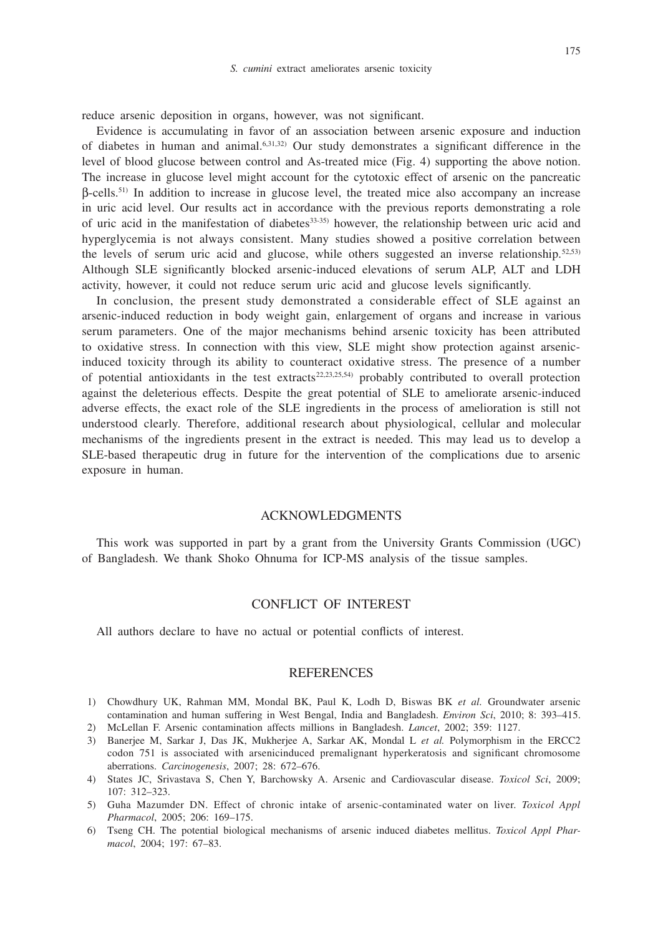reduce arsenic deposition in organs, however, was not significant.

Evidence is accumulating in favor of an association between arsenic exposure and induction of diabetes in human and animal.6,31,32) Our study demonstrates a significant difference in the level of blood glucose between control and As-treated mice (Fig. 4) supporting the above notion. The increase in glucose level might account for the cytotoxic effect of arsenic on the pancreatic β-cells.51) In addition to increase in glucose level, the treated mice also accompany an increase in uric acid level. Our results act in accordance with the previous reports demonstrating a role of uric acid in the manifestation of diabetes33-35) however, the relationship between uric acid and hyperglycemia is not always consistent. Many studies showed a positive correlation between the levels of serum uric acid and glucose, while others suggested an inverse relationship.<sup>52,53)</sup> Although SLE significantly blocked arsenic-induced elevations of serum ALP, ALT and LDH activity, however, it could not reduce serum uric acid and glucose levels significantly.

In conclusion, the present study demonstrated a considerable effect of SLE against an arsenic-induced reduction in body weight gain, enlargement of organs and increase in various serum parameters. One of the major mechanisms behind arsenic toxicity has been attributed to oxidative stress. In connection with this view, SLE might show protection against arsenicinduced toxicity through its ability to counteract oxidative stress. The presence of a number of potential antioxidants in the test extracts<sup>22,23,25,54)</sup> probably contributed to overall protection against the deleterious effects. Despite the great potential of SLE to ameliorate arsenic-induced adverse effects, the exact role of the SLE ingredients in the process of amelioration is still not understood clearly. Therefore, additional research about physiological, cellular and molecular mechanisms of the ingredients present in the extract is needed. This may lead us to develop a SLE-based therapeutic drug in future for the intervention of the complications due to arsenic exposure in human.

### ACKNOWLEDGMENTS

This work was supported in part by a grant from the University Grants Commission (UGC) of Bangladesh. We thank Shoko Ohnuma for ICP-MS analysis of the tissue samples.

## CONFLICT OF INTEREST

All authors declare to have no actual or potential conflicts of interest.

#### REFERENCES

- 1) Chowdhury UK, Rahman MM, Mondal BK, Paul K, Lodh D, Biswas BK *et al.* Groundwater arsenic contamination and human suffering in West Bengal, India and Bangladesh. *Environ Sci*, 2010; 8: 393–415.
- 2) McLellan F. Arsenic contamination affects millions in Bangladesh. *Lancet*, 2002; 359: 1127.
- 3) Banerjee M, Sarkar J, Das JK, Mukherjee A, Sarkar AK, Mondal L *et al.* Polymorphism in the ERCC2 codon 751 is associated with arsenicinduced premalignant hyperkeratosis and significant chromosome aberrations. *Carcinogenesis*, 2007; 28: 672–676.
- 4) States JC, Srivastava S, Chen Y, Barchowsky A. Arsenic and Cardiovascular disease. *Toxicol Sci*, 2009; 107: 312–323.
- 5) Guha Mazumder DN. Effect of chronic intake of arsenic-contaminated water on liver. *Toxicol Appl Pharmacol*, 2005; 206: 169–175.
- 6) Tseng CH. The potential biological mechanisms of arsenic induced diabetes mellitus. *Toxicol Appl Pharmacol*, 2004; 197: 67–83.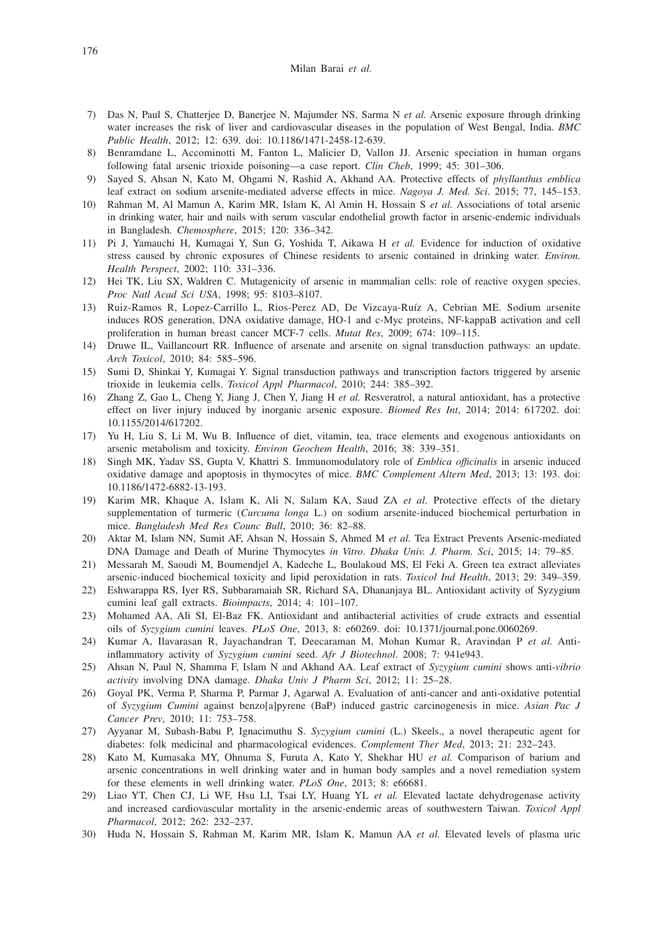#### Milan Barai *et al.*

- 7) Das N, Paul S, Chatterjee D, Banerjee N, Majumder NS, Sarma N *et al.* Arsenic exposure through drinking water increases the risk of liver and cardiovascular diseases in the population of West Bengal, India. *BMC Public Health*, 2012; 12: 639. doi: 10.1186/1471-2458-12-639.
- 8) Benramdane L, Accominotti M, Fanton L, Malicier D, Vallon JJ. Arsenic speciation in human organs following fatal arsenic trioxide poisoning—a case report. *Clin Cheb*, 1999; 45: 301–306.
- 9) Sayed S, Ahsan N, Kato M, Ohgami N, Rashid A, Akhand AA. Protective effects of *phyllanthus emblica* leaf extract on sodium arsenite-mediated adverse effects in mice. *Nagoya J. Med. Sci*. 2015; 77, 145–153.
- 10) Rahman M, Al Mamun A, Karim MR, Islam K, Al Amin H, Hossain S *et al.* Associations of total arsenic in drinking water, hair and nails with serum vascular endothelial growth factor in arsenic-endemic individuals in Bangladesh. *Chemosphere*, 2015; 120: 336–342.
- 11) Pi J, Yamauchi H, Kumagai Y, Sun G, Yoshida T, Aikawa H *et al.* Evidence for induction of oxidative stress caused by chronic exposures of Chinese residents to arsenic contained in drinking water. *Environ. Health Perspect*, 2002; 110: 331–336.
- 12) Hei TK, Liu SX, Waldren C. Mutagenicity of arsenic in mammalian cells: role of reactive oxygen species. *Proc Natl Acad Sci USA*, 1998; 95: 8103–8107.
- 13) Ruiz-Ramos R, Lopez-Carrillo L, Rios-Perez AD, De Vizcaya-Ruíz A, Cebrian ME. Sodium arsenite induces ROS generation, DNA oxidative damage, HO-1 and c-Myc proteins, NF-kappaB activation and cell proliferation in human breast cancer MCF-7 cells. *Mutat Res*, 2009; 674: 109–115.
- 14) Druwe IL, Vaillancourt RR. Influence of arsenate and arsenite on signal transduction pathways: an update. *Arch Toxicol*, 2010; 84: 585–596.
- 15) Sumi D, Shinkai Y, Kumagai Y. Signal transduction pathways and transcription factors triggered by arsenic trioxide in leukemia cells. *Toxicol Appl Pharmacol*, 2010; 244: 385–392.
- 16) Zhang Z, Gao L, Cheng Y, Jiang J, Chen Y, Jiang H *et al.* Resveratrol, a natural antioxidant, has a protective effect on liver injury induced by inorganic arsenic exposure. *Biomed Res Int*, 2014; 2014: 617202. doi: 10.1155/2014/617202.
- 17) Yu H, Liu S, Li M, Wu B. Influence of diet, vitamin, tea, trace elements and exogenous antioxidants on arsenic metabolism and toxicity. *Environ Geochem Health*, 2016; 38: 339–351.
- 18) Singh MK, Yadav SS, Gupta V, Khattri S. Immunomodulatory role of *Emblica officinalis* in arsenic induced oxidative damage and apoptosis in thymocytes of mice. *BMC Complement Altern Med*, 2013; 13: 193. doi: 10.1186/1472-6882-13-193.
- 19) Karim MR, Khaque A, Islam K, Ali N, Salam KA, Saud ZA *et al.* Protective effects of the dietary supplementation of turmeric (*Curcuma longa* L.) on sodium arsenite-induced biochemical perturbation in mice. *Bangladesh Med Res Counc Bull*, 2010; 36: 82–88.
- 20) Aktar M, Islam NN, Sumit AF, Ahsan N, Hossain S, Ahmed M *et al.* Tea Extract Prevents Arsenic-mediated DNA Damage and Death of Murine Thymocytes *in Vitro*. *Dhaka Univ. J. Pharm. Sci*, 2015; 14: 79–85.
- 21) Messarah M, Saoudi M, Boumendjel A, Kadeche L, Boulakoud MS, El Feki A. Green tea extract alleviates arsenic-induced biochemical toxicity and lipid peroxidation in rats. *Toxicol Ind Health*, 2013; 29: 349–359.
- 22) Eshwarappa RS, Iyer RS, Subbaramaiah SR, Richard SA, Dhananjaya BL. Antioxidant activity of Syzygium cumini leaf gall extracts. *Bioimpacts*, 2014; 4: 101–107.
- 23) Mohamed AA, Ali SI, El-Baz FK. Antioxidant and antibacterial activities of crude extracts and essential oils of *Syzygium cumini* leaves. *PLoS One*, 2013, 8: e60269. doi: 10.1371/journal.pone.0060269.
- 24) Kumar A, Ilavarasan R, Jayachandran T, Deecaraman M, Mohan Kumar R, Aravindan P *et al.* Antiinflammatory activity of *Syzygium cumini* seed. *Afr J Biotechnol*. 2008; 7: 941e943.
- 25) Ahsan N, Paul N, Shamma F, Islam N and Akhand AA. Leaf extract of *Syzygium cumini* shows anti-*vibrio activity* involving DNA damage. *Dhaka Univ J Pharm Sci*, 2012; 11: 25–28.
- 26) Goyal PK, Verma P, Sharma P, Parmar J, Agarwal A. Evaluation of anti-cancer and anti-oxidative potential of *Syzygium Cumini* against benzo[a]pyrene (BaP) induced gastric carcinogenesis in mice. *Asian Pac J Cancer Prev*, 2010; 11: 753–758.
- 27) Ayyanar M, Subash-Babu P, Ignacimuthu S. *Syzygium cumini* (L.) Skeels., a novel therapeutic agent for diabetes: folk medicinal and pharmacological evidences. *Complement Ther Med*, 2013; 21: 232–243.
- 28) Kato M, Kumasaka MY, Ohnuma S, Furuta A, Kato Y, Shekhar HU *et al.* Comparison of barium and arsenic concentrations in well drinking water and in human body samples and a novel remediation system for these elements in well drinking water. *PLoS One*, 2013; 8: e66681.
- 29) Liao YT, Chen CJ, Li WF, Hsu LI, Tsai LY, Huang YL *et al.* Elevated lactate dehydrogenase activity and increased cardiovascular mortality in the arsenic-endemic areas of southwestern Taiwan. *Toxicol Appl Pharmacol*, 2012; 262: 232–237.
- 30) Huda N, Hossain S, Rahman M, Karim MR, Islam K, Mamun AA *et al.* Elevated levels of plasma uric